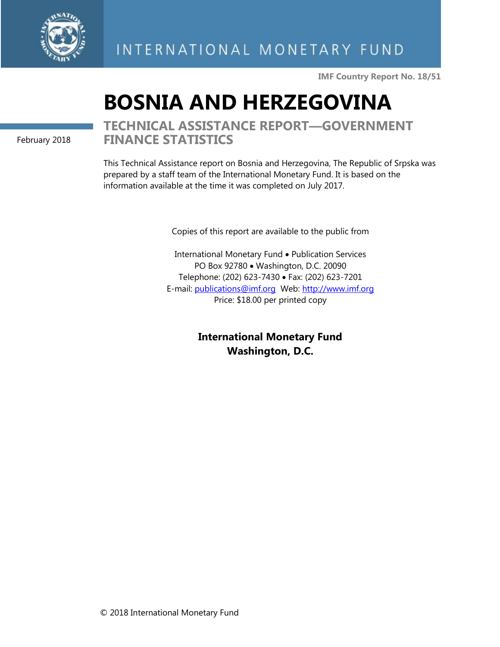

**IMF Country Report No. 18/51**

# **BOSNIA AND HERZEGOVINA**

February 2018

# **TECHNICAL ASSISTANCE REPORT—GOVERNMENT FINANCE STATISTICS**

This Technical Assistance report on Bosnia and Herzegovina, The Republic of Srpska was prepared by a staff team of the International Monetary Fund. It is based on the information available at the time it was completed on July 2017.

Copies of this report are available to the public from

International Monetary Fund • Publication Services PO Box 92780 • Washington, D.C. 20090 Telephone: (202) 623-7430 • Fax: (202) 623-7201 E-mail: [publications@imf.org](mailto:publications@imf.org) Web: [http://www.imf.org](http://www.imf.org/) Price: \$18.00 per printed copy

> **International Monetary Fund Washington, D.C.**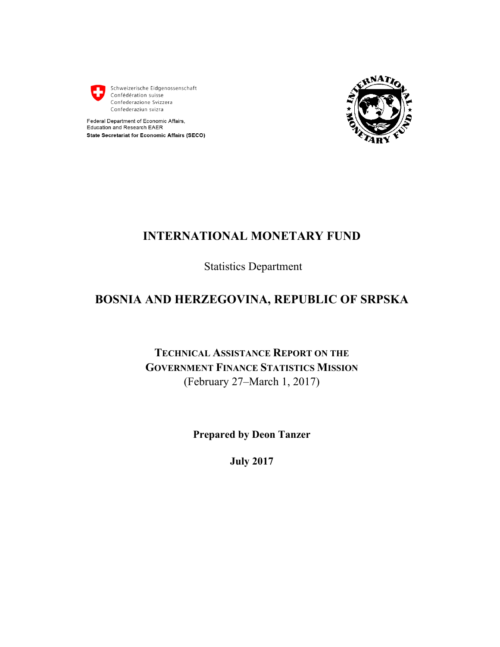

Schweizerische Eidgenossenschaft Confédération suisse Confederazione Svizzera Confederaziun svizra





# **INTERNATIONAL MONETARY FUND**

Statistics Department

# **BOSNIA AND HERZEGOVINA, REPUBLIC OF SRPSKA**

**TECHNICAL ASSISTANCE REPORT ON THE GOVERNMENT FINANCE STATISTICS MISSION** (February 27–March 1, 2017)

**Prepared by Deon Tanzer** 

**July 2017**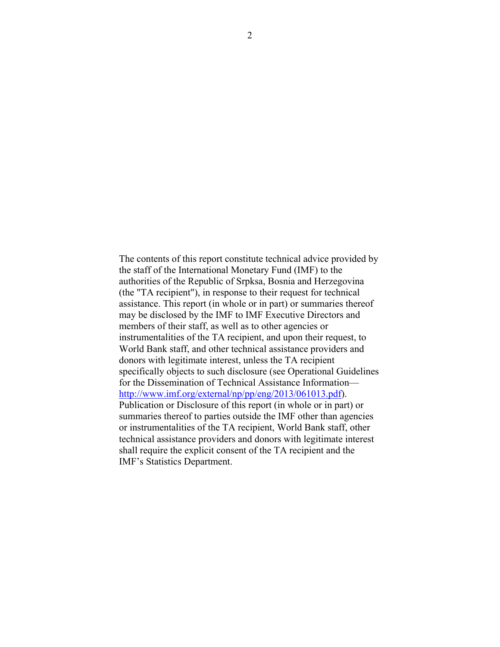The contents of this report constitute technical advice provided by the staff of the International Monetary Fund (IMF) to the authorities of the Republic of Srpksa, Bosnia and Herzegovina (the "TA recipient"), in response to their request for technical assistance. This report (in whole or in part) or summaries thereof may be disclosed by the IMF to IMF Executive Directors and members of their staff, as well as to other agencies or instrumentalities of the TA recipient, and upon their request, to World Bank staff, and other technical assistance providers and donors with legitimate interest, unless the TA recipient specifically objects to such disclosure (see Operational Guidelines for the Dissemination of Technical Assistance Information http://www.imf.org/external/np/pp/eng/2013/061013.pdf). Publication or Disclosure of this report (in whole or in part) or summaries thereof to parties outside the IMF other than agencies or instrumentalities of the TA recipient, World Bank staff, other technical assistance providers and donors with legitimate interest shall require the explicit consent of the TA recipient and the IMF's Statistics Department.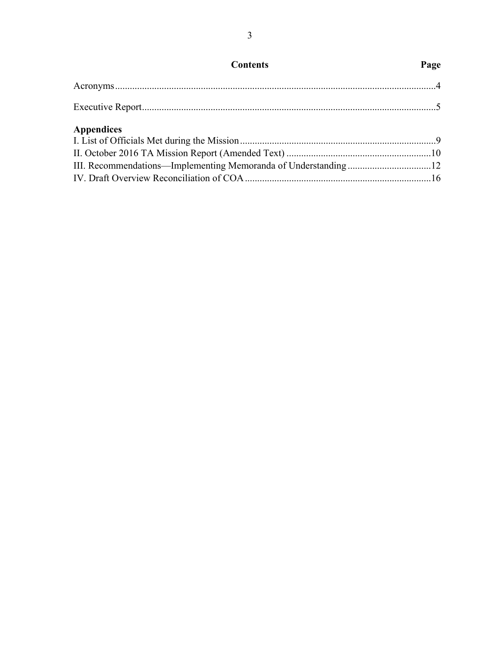| <b>Contents</b>   | Page |
|-------------------|------|
|                   |      |
|                   |      |
| <b>Appendices</b> |      |
|                   |      |
|                   |      |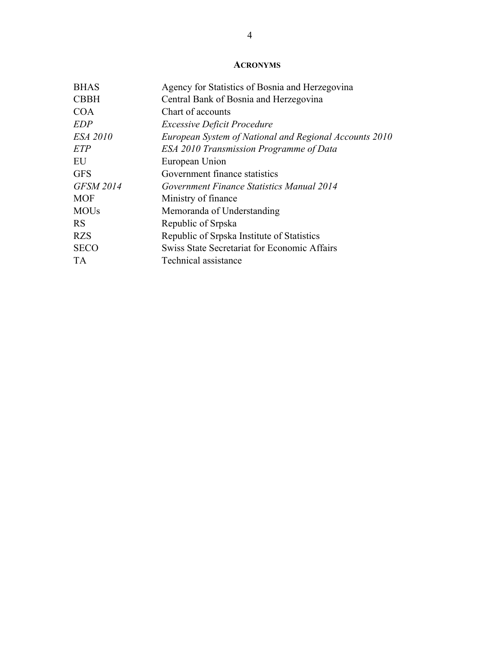# **ACRONYMS**

| <b>BHAS</b>      | Agency for Statistics of Bosnia and Herzegovina        |  |  |
|------------------|--------------------------------------------------------|--|--|
| <b>CBBH</b>      | Central Bank of Bosnia and Herzegovina                 |  |  |
| <b>COA</b>       | Chart of accounts                                      |  |  |
| <b>EDP</b>       | <b>Excessive Deficit Procedure</b>                     |  |  |
| <b>ESA 2010</b>  | European System of National and Regional Accounts 2010 |  |  |
| ETP              | ESA 2010 Transmission Programme of Data                |  |  |
| EU               | European Union                                         |  |  |
| <b>GFS</b>       | Government finance statistics                          |  |  |
| <b>GFSM 2014</b> | Government Finance Statistics Manual 2014              |  |  |
| <b>MOF</b>       | Ministry of finance                                    |  |  |
| <b>MOUs</b>      | Memoranda of Understanding                             |  |  |
| <b>RS</b>        | Republic of Srpska                                     |  |  |
| <b>RZS</b>       | Republic of Srpska Institute of Statistics             |  |  |
| <b>SECO</b>      | Swiss State Secretariat for Economic Affairs           |  |  |
| <b>TA</b>        | Technical assistance                                   |  |  |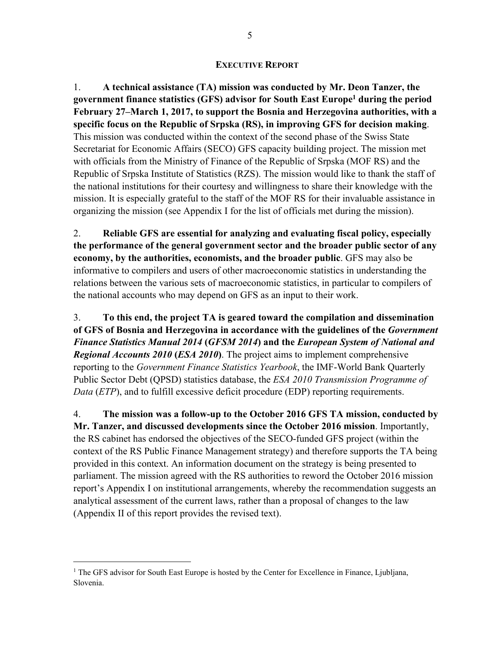#### **EXECUTIVE REPORT**

1. **A technical assistance (TA) mission was conducted by Mr. Deon Tanzer, the government finance statistics (GFS) advisor for South East Europe1 during the period February 27–March 1, 2017, to support the Bosnia and Herzegovina authorities, with a specific focus on the Republic of Srpska (RS), in improving GFS for decision making**. This mission was conducted within the context of the second phase of the Swiss State Secretariat for Economic Affairs (SECO) GFS capacity building project. The mission met with officials from the Ministry of Finance of the Republic of Srpska (MOF RS) and the Republic of Srpska Institute of Statistics (RZS). The mission would like to thank the staff of the national institutions for their courtesy and willingness to share their knowledge with the mission. It is especially grateful to the staff of the MOF RS for their invaluable assistance in organizing the mission (see Appendix I for the list of officials met during the mission).

2. **Reliable GFS are essential for analyzing and evaluating fiscal policy, especially the performance of the general government sector and the broader public sector of any economy, by the authorities, economists, and the broader public**. GFS may also be informative to compilers and users of other macroeconomic statistics in understanding the relations between the various sets of macroeconomic statistics, in particular to compilers of the national accounts who may depend on GFS as an input to their work.

3. **To this end, the project TA is geared toward the compilation and dissemination of GFS of Bosnia and Herzegovina in accordance with the guidelines of the** *Government Finance Statistics Manual 2014* **(***GFSM 2014***) and the** *European System of National and Regional Accounts 2010* **(***ESA 2010***)**. The project aims to implement comprehensive reporting to the *Government Finance Statistics Yearbook*, the IMF-World Bank Quarterly Public Sector Debt (QPSD) statistics database, the *ESA 2010 Transmission Programme of Data* (*ETP*), and to fulfill excessive deficit procedure (*EDP*) reporting requirements.

4. **The mission was a follow-up to the October 2016 GFS TA mission, conducted by Mr. Tanzer, and discussed developments since the October 2016 mission**. Importantly, the RS cabinet has endorsed the objectives of the SECO-funded GFS project (within the context of the RS Public Finance Management strategy) and therefore supports the TA being provided in this context. An information document on the strategy is being presented to parliament. The mission agreed with the RS authorities to reword the October 2016 mission report's Appendix I on institutional arrangements, whereby the recommendation suggests an analytical assessment of the current laws, rather than a proposal of changes to the law (Appendix II of this report provides the revised text).

<u>.</u>

<sup>&</sup>lt;sup>1</sup> The GFS advisor for South East Europe is hosted by the Center for Excellence in Finance, Ljubljana, Slovenia.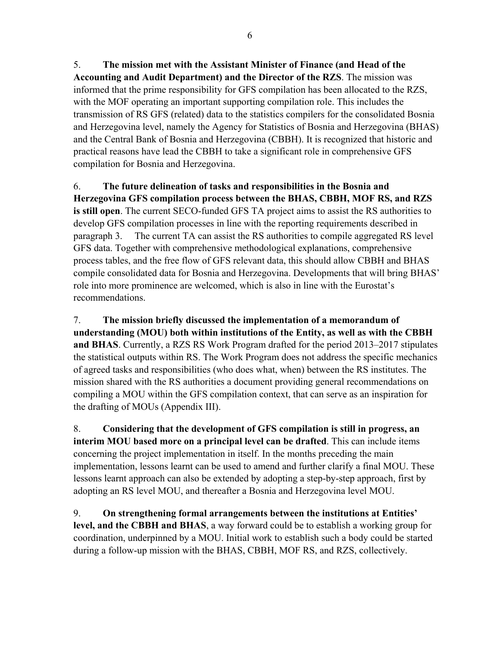5. **The mission met with the Assistant Minister of Finance (and Head of the Accounting and Audit Department) and the Director of the RZS**. The mission was informed that the prime responsibility for GFS compilation has been allocated to the RZS, with the MOF operating an important supporting compilation role. This includes the transmission of RS GFS (related) data to the statistics compilers for the consolidated Bosnia and Herzegovina level, namely the Agency for Statistics of Bosnia and Herzegovina (BHAS) and the Central Bank of Bosnia and Herzegovina (CBBH). It is recognized that historic and practical reasons have lead the CBBH to take a significant role in comprehensive GFS compilation for Bosnia and Herzegovina.

6. **The future delineation of tasks and responsibilities in the Bosnia and Herzegovina GFS compilation process between the BHAS, CBBH, MOF RS, and RZS is still open**. The current SECO-funded GFS TA project aims to assist the RS authorities to develop GFS compilation processes in line with the reporting requirements described in paragraph 3. The current TA can assist the RS authorities to compile aggregated RS level GFS data. Together with comprehensive methodological explanations, comprehensive process tables, and the free flow of GFS relevant data, this should allow CBBH and BHAS compile consolidated data for Bosnia and Herzegovina. Developments that will bring BHAS' role into more prominence are welcomed, which is also in line with the Eurostat's recommendations.

7. **The mission briefly discussed the implementation of a memorandum of understanding (MOU) both within institutions of the Entity, as well as with the CBBH and BHAS**. Currently, a RZS RS Work Program drafted for the period 2013–2017 stipulates the statistical outputs within RS. The Work Program does not address the specific mechanics of agreed tasks and responsibilities (who does what, when) between the RS institutes. The mission shared with the RS authorities a document providing general recommendations on compiling a MOU within the GFS compilation context, that can serve as an inspiration for the drafting of MOUs (Appendix III).

8. **Considering that the development of GFS compilation is still in progress, an interim MOU based more on a principal level can be drafted**. This can include items concerning the project implementation in itself. In the months preceding the main implementation, lessons learnt can be used to amend and further clarify a final MOU. These lessons learnt approach can also be extended by adopting a step-by-step approach, first by adopting an RS level MOU, and thereafter a Bosnia and Herzegovina level MOU.

9. **On strengthening formal arrangements between the institutions at Entities' level, and the CBBH and BHAS**, a way forward could be to establish a working group for coordination, underpinned by a MOU. Initial work to establish such a body could be started during a follow-up mission with the BHAS, CBBH, MOF RS, and RZS, collectively.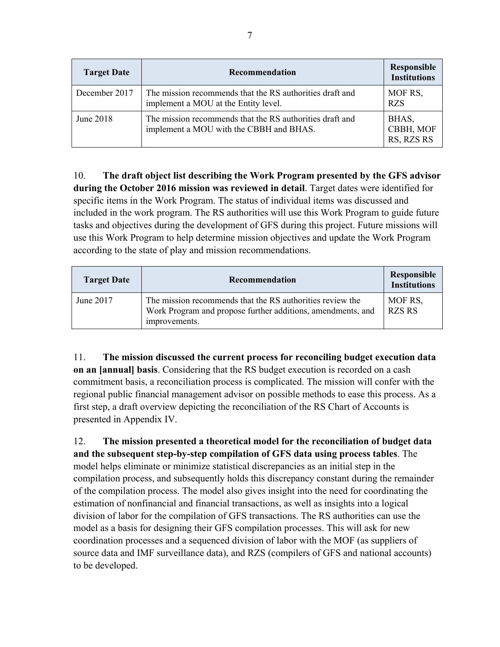| <b>Target Date</b> | Recommendation                                                                                      | <b>Responsible</b><br><b>Institutions</b> |
|--------------------|-----------------------------------------------------------------------------------------------------|-------------------------------------------|
| December 2017      | The mission recommends that the RS authorities draft and<br>implement a MOU at the Entity level.    | MOF RS,<br><b>RZS</b>                     |
| June 2018          | The mission recommends that the RS authorities draft and<br>implement a MOU with the CBBH and BHAS. | BHAS,<br>CBBH, MOF<br>RS, RZS RS          |

10. **The draft object list describing the Work Program presented by the GFS advisor during the October 2016 mission was reviewed in detail**. Target dates were identified for specific items in the Work Program. The status of individual items was discussed and included in the work program. The RS authorities will use this Work Program to guide future tasks and objectives during the development of GFS during this project. Future missions will use this Work Program to help determine mission objectives and update the Work Program according to the state of play and mission recommendations.

| <b>Target Date</b> | Recommendation                                                                                                                            | Responsible<br><b>Institutions</b> |
|--------------------|-------------------------------------------------------------------------------------------------------------------------------------------|------------------------------------|
| June 2017          | The mission recommends that the RS authorities review the<br>Work Program and propose further additions, amendments, and<br>improvements. | MOF RS,<br><b>RZS RS</b>           |

11. **The mission discussed the current process for reconciling budget execution data on an [annual] basis**. Considering that the RS budget execution is recorded on a cash commitment basis, a reconciliation process is complicated. The mission will confer with the regional public financial management advisor on possible methods to ease this process. As a first step, a draft overview depicting the reconciliation of the RS Chart of Accounts is presented in Appendix IV.

12. **The mission presented a theoretical model for the reconciliation of budget data and the subsequent step-by-step compilation of GFS data using process tables**. The model helps eliminate or minimize statistical discrepancies as an initial step in the compilation process, and subsequently holds this discrepancy constant during the remainder of the compilation process. The model also gives insight into the need for coordinating the estimation of nonfinancial and financial transactions, as well as insights into a logical division of labor for the compilation of GFS transactions. The RS authorities can use the model as a basis for designing their GFS compilation processes. This will ask for new coordination processes and a sequenced division of labor with the MOF (as suppliers of source data and IMF surveillance data), and RZS (compilers of GFS and national accounts) to be developed.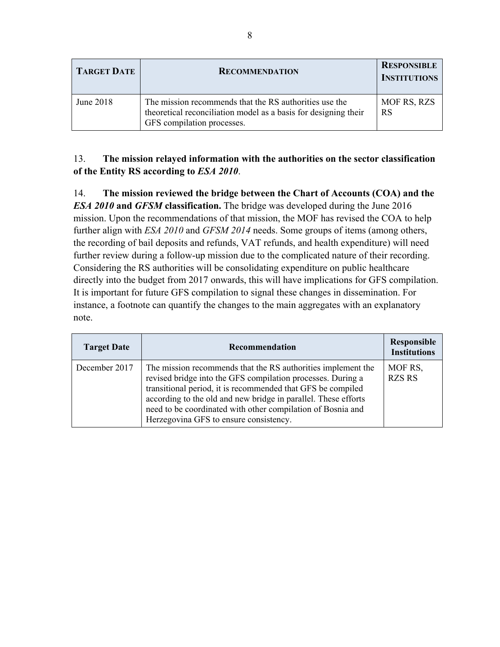| <b>TARGET DATE</b> | <b>RECOMMENDATION</b>                                                                                                                                   | <b>RESPONSIBLE</b><br><b>INSTITUTIONS</b> |
|--------------------|---------------------------------------------------------------------------------------------------------------------------------------------------------|-------------------------------------------|
| June 2018          | The mission recommends that the RS authorities use the<br>theoretical reconciliation model as a basis for designing their<br>GFS compilation processes. | <b>MOF RS, RZS</b><br><b>RS</b>           |

# 13. **The mission relayed information with the authorities on the sector classification of the Entity RS according to** *ESA 2010*.

14. **The mission reviewed the bridge between the Chart of Accounts (COA) and the**  *ESA 2010* **and** *GFSM* **classification.** The bridge was developed during the June 2016 mission. Upon the recommendations of that mission, the MOF has revised the COA to help further align with *ESA 2010* and *GFSM 2014* needs. Some groups of items (among others, the recording of bail deposits and refunds, VAT refunds, and health expenditure) will need further review during a follow-up mission due to the complicated nature of their recording. Considering the RS authorities will be consolidating expenditure on public healthcare directly into the budget from 2017 onwards, this will have implications for GFS compilation. It is important for future GFS compilation to signal these changes in dissemination. For instance, a footnote can quantify the changes to the main aggregates with an explanatory note.

| <b>Target Date</b> | Recommendation                                                                                                                                                                                                                                                                                                                                                        | <b>Responsible</b><br><b>Institutions</b> |
|--------------------|-----------------------------------------------------------------------------------------------------------------------------------------------------------------------------------------------------------------------------------------------------------------------------------------------------------------------------------------------------------------------|-------------------------------------------|
| December 2017      | The mission recommends that the RS authorities implement the<br>revised bridge into the GFS compilation processes. During a<br>transitional period, it is recommended that GFS be compiled<br>according to the old and new bridge in parallel. These efforts<br>need to be coordinated with other compilation of Bosnia and<br>Herzegovina GFS to ensure consistency. | MOF RS,<br><b>RZS RS</b>                  |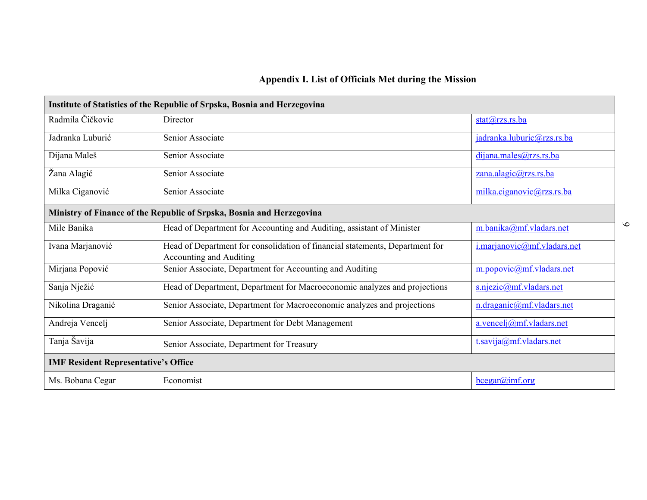# **Appendix I. List of Officials Met during the Mission**

| Institute of Statistics of the Republic of Srpska, Bosnia and Herzegovina |                                                                                                         |                             |  |
|---------------------------------------------------------------------------|---------------------------------------------------------------------------------------------------------|-----------------------------|--|
| Radmila Čičkovic                                                          | Director                                                                                                | $stat(a)$ rzs.rs.ba         |  |
| Jadranka Luburić                                                          | Senior Associate                                                                                        | jadranka.luburic@rzs.rs.ba  |  |
| Dijana Maleš                                                              | Senior Associate                                                                                        | dijana.males@rzs.rs.ba      |  |
| Žana Alagić                                                               | Senior Associate                                                                                        | zana.alagic@rzs.rs.ba       |  |
| Milka Ciganović                                                           | Senior Associate                                                                                        | milka.ciganovic@rzs.rs.ba   |  |
| Ministry of Finance of the Republic of Srpska, Bosnia and Herzegovina     |                                                                                                         |                             |  |
| Mile Banika                                                               | Head of Department for Accounting and Auditing, assistant of Minister                                   | m.banika@mf.vladars.net     |  |
| Ivana Marjanović                                                          | Head of Department for consolidation of financial statements, Department for<br>Accounting and Auditing | i.marjanovic@mf.vladars.net |  |
| Mirjana Popović                                                           | Senior Associate, Department for Accounting and Auditing                                                | m.popovic@mf.vladars.net    |  |
| Sanja Nježić                                                              | Head of Department, Department for Macroeconomic analyzes and projections                               | s.njezic@mf.vladars.net     |  |
| Nikolina Draganić                                                         | Senior Associate, Department for Macroeconomic analyzes and projections                                 | n.draganic@mf.vladars.net   |  |
| Andreja Vencelj                                                           | Senior Associate, Department for Debt Management                                                        | $a.$ vencelj@mf.vladars.net |  |
| Tanja Šavija                                                              | Senior Associate, Department for Treasury                                                               | t.savija@mf.vladars.net     |  |
| <b>IMF Resident Representative's Office</b>                               |                                                                                                         |                             |  |
| Ms. Bobana Cegar                                                          | Economist                                                                                               | bcegar@imf.org              |  |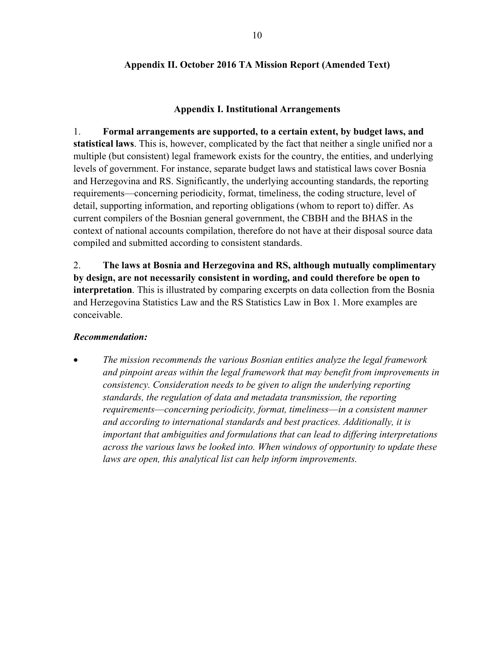# **Appendix II. October 2016 TA Mission Report (Amended Text)**

# **Appendix I. Institutional Arrangements**

1. **Formal arrangements are supported, to a certain extent, by budget laws, and statistical laws**. This is, however, complicated by the fact that neither a single unified nor a multiple (but consistent) legal framework exists for the country, the entities, and underlying levels of government. For instance, separate budget laws and statistical laws cover Bosnia and Herzegovina and RS. Significantly, the underlying accounting standards, the reporting requirements—concerning periodicity, format, timeliness, the coding structure, level of detail, supporting information, and reporting obligations (whom to report to) differ. As current compilers of the Bosnian general government, the CBBH and the BHAS in the context of national accounts compilation, therefore do not have at their disposal source data compiled and submitted according to consistent standards.

2. **The laws at Bosnia and Herzegovina and RS, although mutually complimentary by design, are not necessarily consistent in wording, and could therefore be open to interpretation**. This is illustrated by comparing excerpts on data collection from the Bosnia and Herzegovina Statistics Law and the RS Statistics Law in Box 1. More examples are conceivable.

# *Recommendation:*

 *The mission recommends the various Bosnian entities analyze the legal framework and pinpoint areas within the legal framework that may benefit from improvements in consistency. Consideration needs to be given to align the underlying reporting standards, the regulation of data and metadata transmission, the reporting requirements*—*concerning periodicity, format, timeliness*—*in a consistent manner and according to international standards and best practices. Additionally, it is important that ambiguities and formulations that can lead to differing interpretations across the various laws be looked into. When windows of opportunity to update these laws are open, this analytical list can help inform improvements.*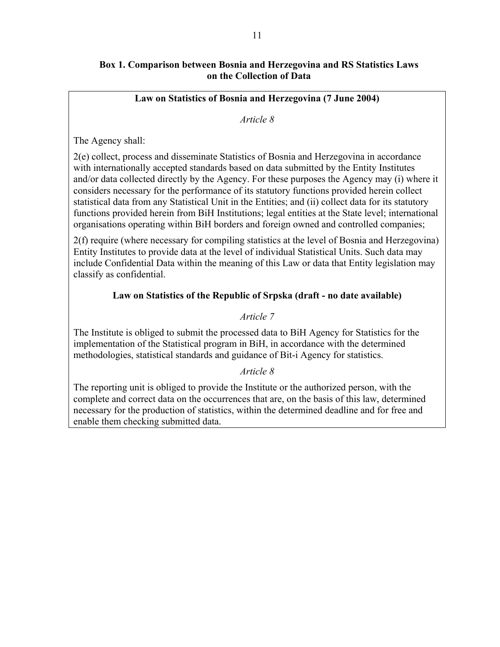# **Box 1. Comparison between Bosnia and Herzegovina and RS Statistics Laws on the Collection of Data**

## **Law on Statistics of Bosnia and Herzegovina (7 June 2004)**

#### *Article 8*

The Agency shall:

2(e) collect, process and disseminate Statistics of Bosnia and Herzegovina in accordance with internationally accepted standards based on data submitted by the Entity Institutes and/or data collected directly by the Agency. For these purposes the Agency may (i) where it considers necessary for the performance of its statutory functions provided herein collect statistical data from any Statistical Unit in the Entities; and (ii) collect data for its statutory functions provided herein from BiH Institutions; legal entities at the State level; international organisations operating within BiH borders and foreign owned and controlled companies;

2(f) require (where necessary for compiling statistics at the level of Bosnia and Herzegovina) Entity Institutes to provide data at the level of individual Statistical Units. Such data may include Confidential Data within the meaning of this Law or data that Entity legislation may classify as confidential.

# **Law on Statistics of the Republic of Srpska (draft - no date available)**

# *Article 7*

The Institute is obliged to submit the processed data to BiH Agency for Statistics for the implementation of the Statistical program in BiH, in accordance with the determined methodologies, statistical standards and guidance of Bit-i Agency for statistics.

# *Article 8*

The reporting unit is obliged to provide the Institute or the authorized person, with the complete and correct data on the occurrences that are, on the basis of this law, determined necessary for the production of statistics, within the determined deadline and for free and enable them checking submitted data.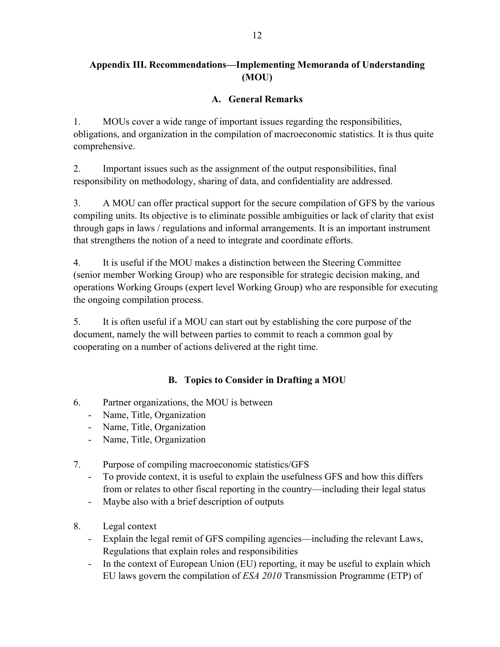# **Appendix III. Recommendations—Implementing Memoranda of Understanding (MOU)**

# **A. General Remarks**

1. MOUs cover a wide range of important issues regarding the responsibilities, obligations, and organization in the compilation of macroeconomic statistics. It is thus quite comprehensive.

2. Important issues such as the assignment of the output responsibilities, final responsibility on methodology, sharing of data, and confidentiality are addressed.

3. A MOU can offer practical support for the secure compilation of GFS by the various compiling units. Its objective is to eliminate possible ambiguities or lack of clarity that exist through gaps in laws / regulations and informal arrangements. It is an important instrument that strengthens the notion of a need to integrate and coordinate efforts.

4. It is useful if the MOU makes a distinction between the Steering Committee (senior member Working Group) who are responsible for strategic decision making, and operations Working Groups (expert level Working Group) who are responsible for executing the ongoing compilation process.

5. It is often useful if a MOU can start out by establishing the core purpose of the document, namely the will between parties to commit to reach a common goal by cooperating on a number of actions delivered at the right time.

# **B. Topics to Consider in Drafting a MOU**

- 6. Partner organizations, the MOU is between
	- Name, Title, Organization
	- Name, Title, Organization
	- Name, Title, Organization
- 7. Purpose of compiling macroeconomic statistics/GFS
	- To provide context, it is useful to explain the usefulness GFS and how this differs from or relates to other fiscal reporting in the country—including their legal status
	- Maybe also with a brief description of outputs
- 8. Legal context
	- Explain the legal remit of GFS compiling agencies—including the relevant Laws, Regulations that explain roles and responsibilities
	- In the context of European Union (EU) reporting, it may be useful to explain which EU laws govern the compilation of *ESA 2010* Transmission Programme (ETP) of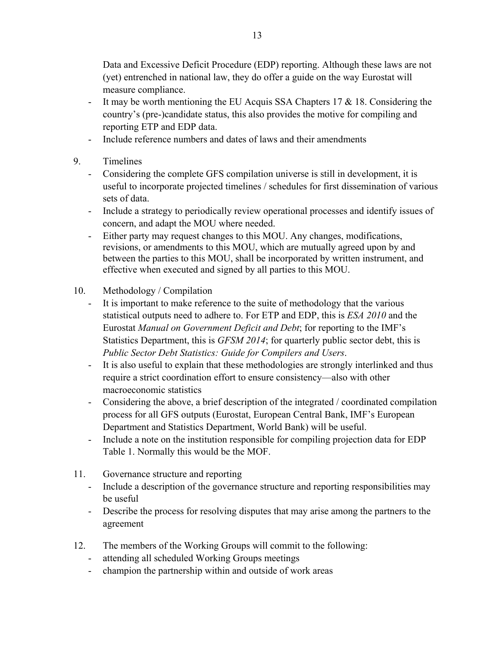Data and Excessive Deficit Procedure (EDP) reporting. Although these laws are not (yet) entrenched in national law, they do offer a guide on the way Eurostat will measure compliance.

- It may be worth mentioning the EU Acquis SSA Chapters 17 & 18. Considering the country's (pre-)candidate status, this also provides the motive for compiling and reporting ETP and EDP data.
- Include reference numbers and dates of laws and their amendments
- 9. Timelines
	- Considering the complete GFS compilation universe is still in development, it is useful to incorporate projected timelines / schedules for first dissemination of various sets of data.
	- Include a strategy to periodically review operational processes and identify issues of concern, and adapt the MOU where needed.
	- Either party may request changes to this MOU. Any changes, modifications, revisions, or amendments to this MOU, which are mutually agreed upon by and between the parties to this MOU, shall be incorporated by written instrument, and effective when executed and signed by all parties to this MOU.
- 10. Methodology / Compilation
	- It is important to make reference to the suite of methodology that the various statistical outputs need to adhere to. For ETP and EDP, this is *ESA 2010* and the Eurostat *Manual on Government Deficit and Debt*; for reporting to the IMF's Statistics Department, this is *GFSM 2014*; for quarterly public sector debt, this is *Public Sector Debt Statistics: Guide for Compilers and Users*.
	- It is also useful to explain that these methodologies are strongly interlinked and thus require a strict coordination effort to ensure consistency—also with other macroeconomic statistics
	- Considering the above, a brief description of the integrated / coordinated compilation process for all GFS outputs (Eurostat, European Central Bank, IMF's European Department and Statistics Department, World Bank) will be useful.
	- Include a note on the institution responsible for compiling projection data for EDP Table 1. Normally this would be the MOF.
- 11. Governance structure and reporting
	- Include a description of the governance structure and reporting responsibilities may be useful
	- Describe the process for resolving disputes that may arise among the partners to the agreement
- 12. The members of the Working Groups will commit to the following:
	- attending all scheduled Working Groups meetings
	- champion the partnership within and outside of work areas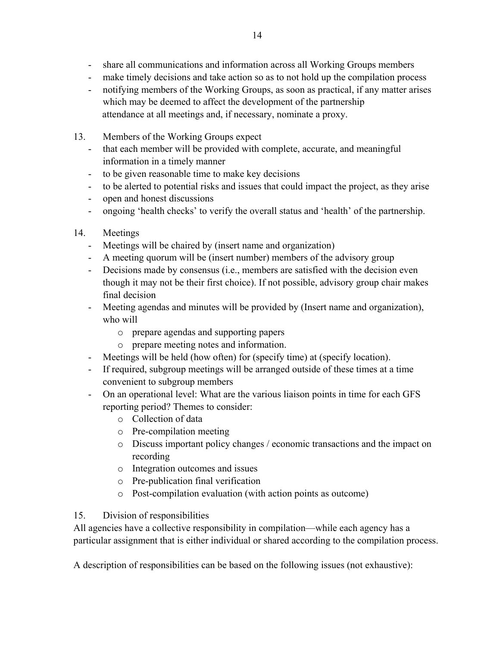- share all communications and information across all Working Groups members
- make timely decisions and take action so as to not hold up the compilation process
- notifying members of the Working Groups, as soon as practical, if any matter arises which may be deemed to affect the development of the partnership attendance at all meetings and, if necessary, nominate a proxy.
- 13. Members of the Working Groups expect
	- that each member will be provided with complete, accurate, and meaningful information in a timely manner
	- to be given reasonable time to make key decisions
	- to be alerted to potential risks and issues that could impact the project, as they arise
	- open and honest discussions
	- ongoing 'health checks' to verify the overall status and 'health' of the partnership.
- 14. Meetings
	- Meetings will be chaired by (insert name and organization)
	- A meeting quorum will be (insert number) members of the advisory group
	- Decisions made by consensus (i.e., members are satisfied with the decision even though it may not be their first choice). If not possible, advisory group chair makes final decision
	- Meeting agendas and minutes will be provided by (Insert name and organization), who will
		- o prepare agendas and supporting papers
		- o prepare meeting notes and information.
	- Meetings will be held (how often) for (specify time) at (specify location).
	- If required, subgroup meetings will be arranged outside of these times at a time convenient to subgroup members
	- On an operational level: What are the various liaison points in time for each GFS reporting period? Themes to consider:
		- o Collection of data
		- o Pre-compilation meeting
		- o Discuss important policy changes / economic transactions and the impact on recording
		- o Integration outcomes and issues
		- o Pre-publication final verification
		- o Post-compilation evaluation (with action points as outcome)

# 15. Division of responsibilities

All agencies have a collective responsibility in compilation—while each agency has a particular assignment that is either individual or shared according to the compilation process.

A description of responsibilities can be based on the following issues (not exhaustive):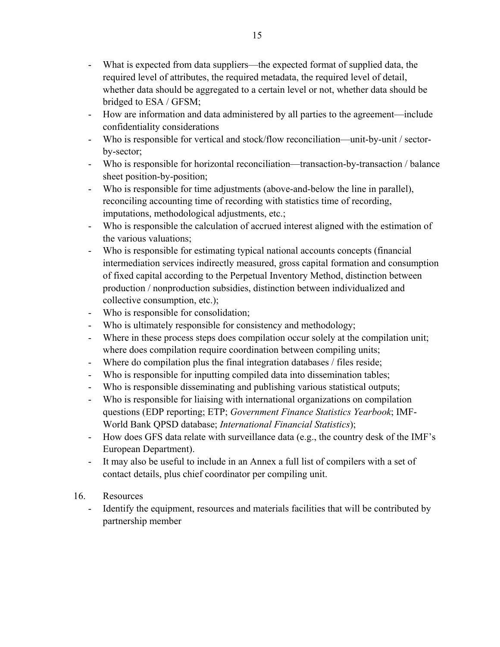- What is expected from data suppliers—the expected format of supplied data, the required level of attributes, the required metadata, the required level of detail, whether data should be aggregated to a certain level or not, whether data should be bridged to ESA / GFSM;
- How are information and data administered by all parties to the agreement—include confidentiality considerations
- Who is responsible for vertical and stock/flow reconciliation—unit-by-unit / sectorby-sector;
- Who is responsible for horizontal reconciliation—transaction-by-transaction / balance sheet position-by-position;
- Who is responsible for time adjustments (above-and-below the line in parallel), reconciling accounting time of recording with statistics time of recording, imputations, methodological adjustments, etc.;
- Who is responsible the calculation of accrued interest aligned with the estimation of the various valuations;
- Who is responsible for estimating typical national accounts concepts (financial intermediation services indirectly measured, gross capital formation and consumption of fixed capital according to the Perpetual Inventory Method, distinction between production / nonproduction subsidies, distinction between individualized and collective consumption, etc.);
- Who is responsible for consolidation;
- Who is ultimately responsible for consistency and methodology;
- Where in these process steps does compilation occur solely at the compilation unit; where does compilation require coordination between compiling units;
- Where do compilation plus the final integration databases / files reside;
- Who is responsible for inputting compiled data into dissemination tables;
- Who is responsible disseminating and publishing various statistical outputs;
- Who is responsible for liaising with international organizations on compilation questions (EDP reporting; ETP; *Government Finance Statistics Yearbook*; IMF-World Bank QPSD database; *International Financial Statistics*);
- How does GFS data relate with surveillance data (e.g., the country desk of the IMF's European Department).
- It may also be useful to include in an Annex a full list of compilers with a set of contact details, plus chief coordinator per compiling unit.
- 16. Resources
	- Identify the equipment, resources and materials facilities that will be contributed by partnership member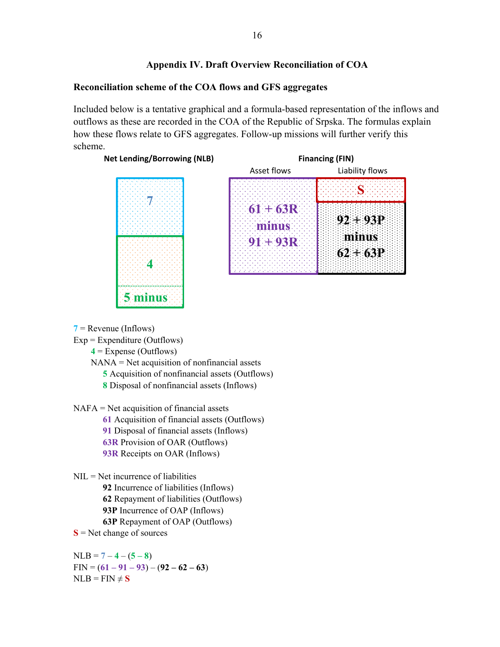## **Appendix IV. Draft Overview Reconciliation of COA**

#### **Reconciliation scheme of the COA flows and GFS aggregates**

Included below is a tentative graphical and a formula-based representation of the inflows and outflows as these are recorded in the COA of the Republic of Srpska. The formulas explain how these flows relate to GFS aggregates. Follow-up missions will further verify this scheme.





**7** = Revenue (Inflows)

 $Exp = Expenditure (Outflows)$ 

**4** = Expense (Outflows)

NANA = Net acquisition of nonfinancial assets

- **5** Acquisition of nonfinancial assets (Outflows)
- **8** Disposal of nonfinancial assets (Inflows)

NAFA = Net acquisition of financial assets

**61** Acquisition of financial assets (Outflows)

**91** Disposal of financial assets (Inflows)

**63R** Provision of OAR (Outflows)

**93R** Receipts on OAR (Inflows)

NIL = Net incurrence of liabilities

**92** Incurrence of liabilities (Inflows)

**62** Repayment of liabilities (Outflows)

**93P** Incurrence of OAP (Inflows)

**63P** Repayment of OAP (Outflows)

**S** = Net change of sources

 $NLB = 7 - 4 - (5 - 8)$  $\text{FIN} = (61 - 91 - 93) - (92 - 62 - 63)$  $NLB = FIN \neq S$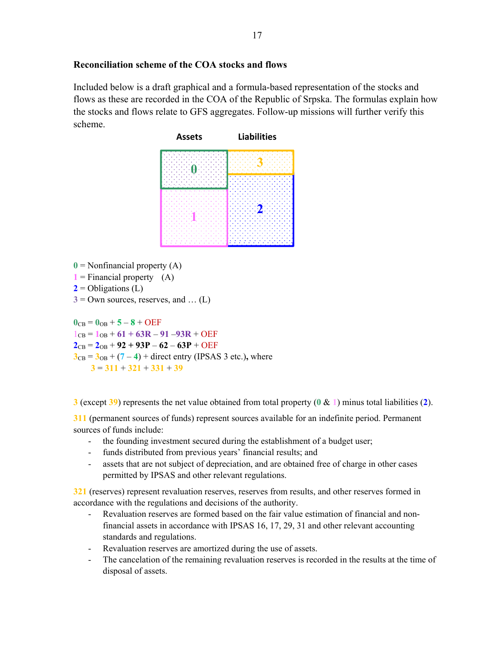## **Reconciliation scheme of the COA stocks and flows**

Included below is a draft graphical and a formula-based representation of the stocks and flows as these are recorded in the COA of the Republic of Srpska. The formulas explain how the stocks and flows relate to GFS aggregates. Follow-up missions will further verify this scheme.



- $\mathbf{0}$  = Nonfinancial property (A)
- $1$  = Financial property (A)
- $2$  = Obligations (L)
- $3 =$  Own sources, reserves, and ... (L)

 $0_{CB} = 0_{OB} + 5 - 8 + OEF$  $1_{CB} = 1_{OB} + 61 + 63R - 91 - 93R + OEF$  $2_{CB} = 2_{OB} + 92 + 93P - 62 - 63P + OEF$  $3_{CB} = 3_{OB} + (7 - 4) +$  direct entry (IPSAS 3 etc.), where **3** = **311** + **321** + **331** + **39**

**3** (except **39**) represents the net value obtained from total property (**0** & **1**) minus total liabilities (**2**).

**311** (permanent sources of funds) represent sources available for an indefinite period. Permanent sources of funds include:

- the founding investment secured during the establishment of a budget user;
- funds distributed from previous years' financial results; and
- assets that are not subject of depreciation, and are obtained free of charge in other cases permitted by IPSAS and other relevant regulations.

**321** (reserves) represent revaluation reserves, reserves from results, and other reserves formed in accordance with the regulations and decisions of the authority.

- Revaluation reserves are formed based on the fair value estimation of financial and nonfinancial assets in accordance with IPSAS 16, 17, 29, 31 and other relevant accounting standards and regulations.
- Revaluation reserves are amortized during the use of assets.
- The cancelation of the remaining revaluation reserves is recorded in the results at the time of disposal of assets.